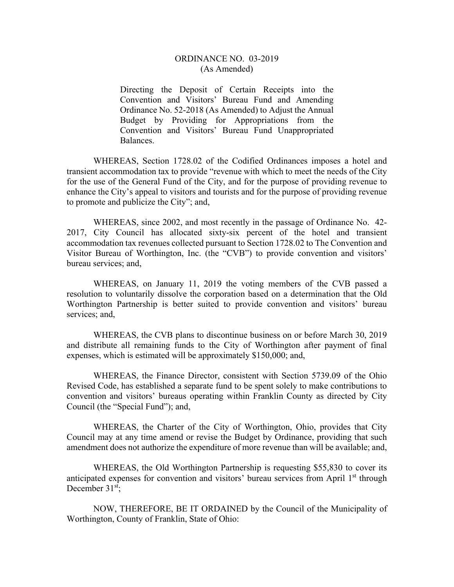## ORDINANCE NO. 03-2019 (As Amended)

Directing the Deposit of Certain Receipts into the Convention and Visitors' Bureau Fund and Amending Ordinance No. 52-2018 (As Amended) to Adjust the Annual Budget by Providing for Appropriations from the Convention and Visitors' Bureau Fund Unappropriated Balances.

WHEREAS, Section 1728.02 of the Codified Ordinances imposes a hotel and transient accommodation tax to provide "revenue with which to meet the needs of the City for the use of the General Fund of the City, and for the purpose of providing revenue to enhance the City's appeal to visitors and tourists and for the purpose of providing revenue to promote and publicize the City"; and,

WHEREAS, since 2002, and most recently in the passage of Ordinance No. 42- 2017, City Council has allocated sixty-six percent of the hotel and transient accommodation tax revenues collected pursuant to Section 1728.02 to The Convention and Visitor Bureau of Worthington, Inc. (the "CVB") to provide convention and visitors' bureau services; and,

WHEREAS, on January 11, 2019 the voting members of the CVB passed a resolution to voluntarily dissolve the corporation based on a determination that the Old Worthington Partnership is better suited to provide convention and visitors' bureau services; and,

WHEREAS, the CVB plans to discontinue business on or before March 30, 2019 and distribute all remaining funds to the City of Worthington after payment of final expenses, which is estimated will be approximately \$150,000; and,

WHEREAS, the Finance Director, consistent with Section 5739.09 of the Ohio Revised Code, has established a separate fund to be spent solely to make contributions to convention and visitors' bureaus operating within Franklin County as directed by City Council (the "Special Fund"); and,

WHEREAS, the Charter of the City of Worthington, Ohio, provides that City Council may at any time amend or revise the Budget by Ordinance, providing that such amendment does not authorize the expenditure of more revenue than will be available; and,

WHEREAS, the Old Worthington Partnership is requesting \$55,830 to cover its anticipated expenses for convention and visitors' bureau services from April 1<sup>st</sup> through December  $31<sup>st</sup>$ ;

NOW, THEREFORE, BE IT ORDAINED by the Council of the Municipality of Worthington, County of Franklin, State of Ohio: